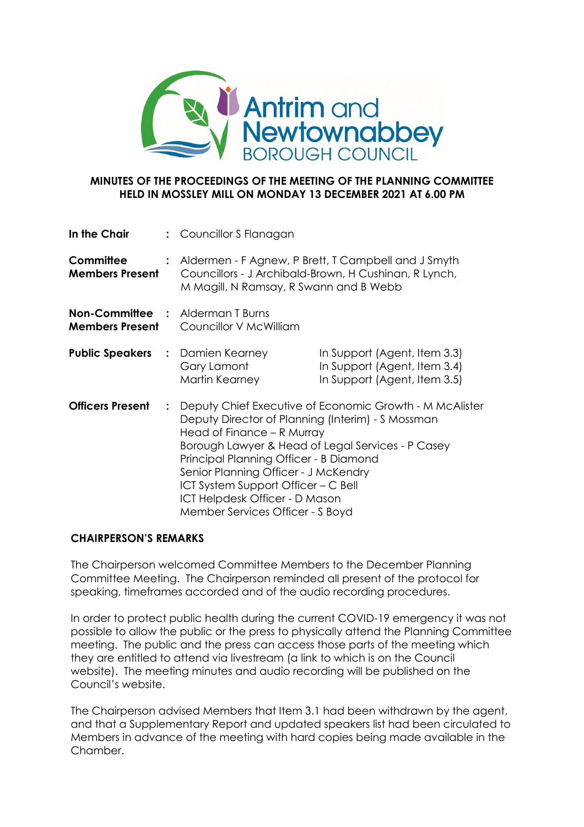

## **MINUTES OF THE PROCEEDINGS OF THE MEETING OF THE PLANNING COMMITTEE HELD IN MOSSLEY MILL ON MONDAY 13 DECEMBER 2021 AT 6.00 PM**

| In the Chair                                                      |                | : Councillor S Flanagan                                                                                                                                                                                                                                                                                                             |                                                                                                                |
|-------------------------------------------------------------------|----------------|-------------------------------------------------------------------------------------------------------------------------------------------------------------------------------------------------------------------------------------------------------------------------------------------------------------------------------------|----------------------------------------------------------------------------------------------------------------|
| Committee<br><b>Members Present</b>                               |                | M Magill, N Ramsay, R Swann and B Webb                                                                                                                                                                                                                                                                                              | : Aldermen - F Agnew, P Brett, T Campbell and J Smyth<br>Councillors - J Archibald-Brown, H Cushinan, R Lynch, |
| <b>Non-Committee : Alderman T Burns</b><br><b>Members Present</b> |                | Councillor V McWilliam                                                                                                                                                                                                                                                                                                              |                                                                                                                |
| <b>Public Speakers : Damien Kearney</b>                           |                | Gary Lamont<br>Martin Kearney                                                                                                                                                                                                                                                                                                       | In Support (Agent, Item 3.3)<br>In Support (Agent, Item 3.4)<br>In Support (Agent, Item 3.5)                   |
| <b>Officers Present</b>                                           | $\ddot{\cdot}$ | Deputy Director of Planning (Interim) - S Mossman<br>Head of Finance – R Murray<br>Borough Lawyer & Head of Legal Services - P Casey<br>Principal Planning Officer - B Diamond<br>Senior Planning Officer - J McKendry<br>ICT System Support Officer – C Bell<br>ICT Helpdesk Officer - D Mason<br>Member Services Officer - S Boyd | Deputy Chief Executive of Economic Growth - M McAlister                                                        |

# **CHAIRPERSON'S REMARKS**

The Chairperson welcomed Committee Members to the December Planning Committee Meeting. The Chairperson reminded all present of the protocol for speaking, timeframes accorded and of the audio recording procedures.

In order to protect public health during the current COVID-19 emergency it was not possible to allow the public or the press to physically attend the Planning Committee meeting. The public and the press can access those parts of the meeting which they are entitled to attend via livestream (a link to which is on the Council website). The meeting minutes and audio recording will be published on the Council's website.

The Chairperson advised Members that Item 3.1 had been withdrawn by the agent, and that a Supplementary Report and updated speakers list had been circulated to Members in advance of the meeting with hard copies being made available in the Chamber.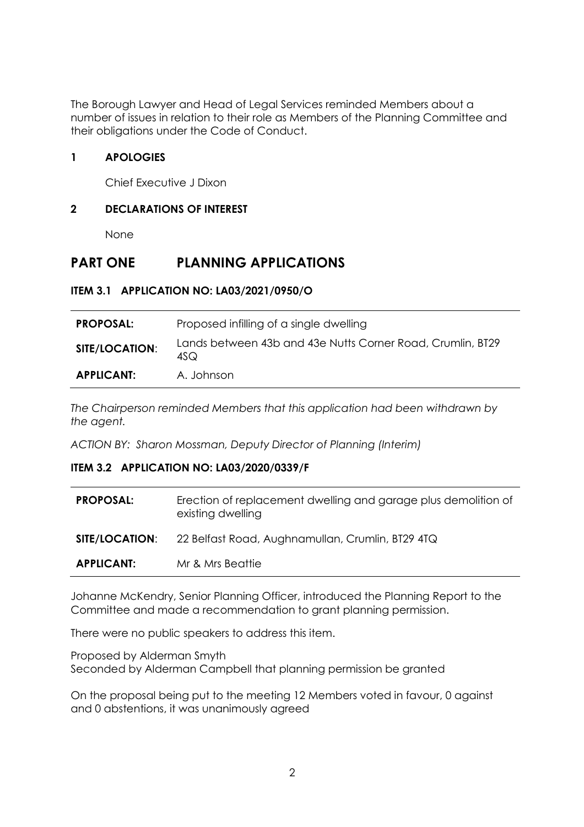The Borough Lawyer and Head of Legal Services reminded Members about a number of issues in relation to their role as Members of the Planning Committee and their obligations under the Code of Conduct.

# **1 APOLOGIES**

Chief Executive J Dixon

# **2 DECLARATIONS OF INTEREST**

None

# **PART ONE PLANNING APPLICATIONS**

# **ITEM 3.1 APPLICATION NO: LA03/2021/0950/O**

| <b>PROPOSAL:</b>      | Proposed infilling of a single dwelling                            |
|-----------------------|--------------------------------------------------------------------|
| <b>SITE/LOCATION:</b> | Lands between 43b and 43e Nutts Corner Road, Crumlin, BT29<br>4SQ. |
| <b>APPLICANT:</b>     | A. Johnson                                                         |

*The Chairperson reminded Members that this application had been withdrawn by the agent.*

*ACTION BY: Sharon Mossman, Deputy Director of Planning (Interim)*

# **ITEM 3.2 APPLICATION NO: LA03/2020/0339/F**

| <b>SITE/LOCATION:</b> | existing dwelling<br>22 Belfast Road, Aughnamullan, Crumlin, BT29 4TQ |
|-----------------------|-----------------------------------------------------------------------|
| <b>APPLICANT:</b>     | Mr & Mrs Beattie                                                      |

Johanne McKendry, Senior Planning Officer, introduced the Planning Report to the Committee and made a recommendation to grant planning permission.

There were no public speakers to address this item.

Proposed by Alderman Smyth Seconded by Alderman Campbell that planning permission be granted

On the proposal being put to the meeting 12 Members voted in favour, 0 against and 0 abstentions, it was unanimously agreed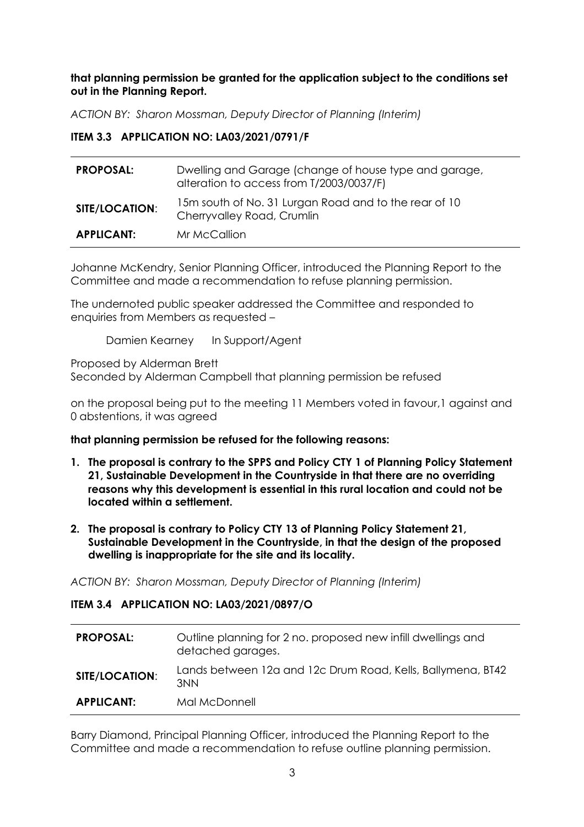**that planning permission be granted for the application subject to the conditions set out in the Planning Report.**

*ACTION BY: Sharon Mossman, Deputy Director of Planning (Interim)*

## **ITEM 3.3 APPLICATION NO: LA03/2021/0791/F**

| <b>PROPOSAL:</b>  | Dwelling and Garage (change of house type and garage,<br>alteration to access from T/2003/0037/F) |
|-------------------|---------------------------------------------------------------------------------------------------|
| SITE/LOCATION:    | 15m south of No. 31 Lurgan Road and to the rear of 10<br>Cherryvalley Road, Crumlin               |
| <b>APPLICANT:</b> | Mr McCallion                                                                                      |

Johanne McKendry, Senior Planning Officer, introduced the Planning Report to the Committee and made a recommendation to refuse planning permission.

The undernoted public speaker addressed the Committee and responded to enquiries from Members as requested –

Damien Kearney In Support/Agent

Proposed by Alderman Brett

Seconded by Alderman Campbell that planning permission be refused

on the proposal being put to the meeting 11 Members voted in favour,1 against and 0 abstentions, it was agreed

#### **that planning permission be refused for the following reasons:**

- **1. The proposal is contrary to the SPPS and Policy CTY 1 of Planning Policy Statement 21, Sustainable Development in the Countryside in that there are no overriding reasons why this development is essential in this rural location and could not be located within a settlement.**
- **2. The proposal is contrary to Policy CTY 13 of Planning Policy Statement 21, Sustainable Development in the Countryside, in that the design of the proposed dwelling is inappropriate for the site and its locality.**

*ACTION BY: Sharon Mossman, Deputy Director of Planning (Interim)*

#### **ITEM 3.4 APPLICATION NO: LA03/2021/0897/O**

| <b>PROPOSAL:</b>      | Outline planning for 2 no. proposed new infill dwellings and<br>detached garages. |
|-----------------------|-----------------------------------------------------------------------------------|
| <b>SITE/LOCATION:</b> | Lands between 12a and 12c Drum Road, Kells, Ballymena, BT42<br>3NN                |
| <b>APPLICANT:</b>     | Mal McDonnell                                                                     |

Barry Diamond, Principal Planning Officer, introduced the Planning Report to the Committee and made a recommendation to refuse outline planning permission.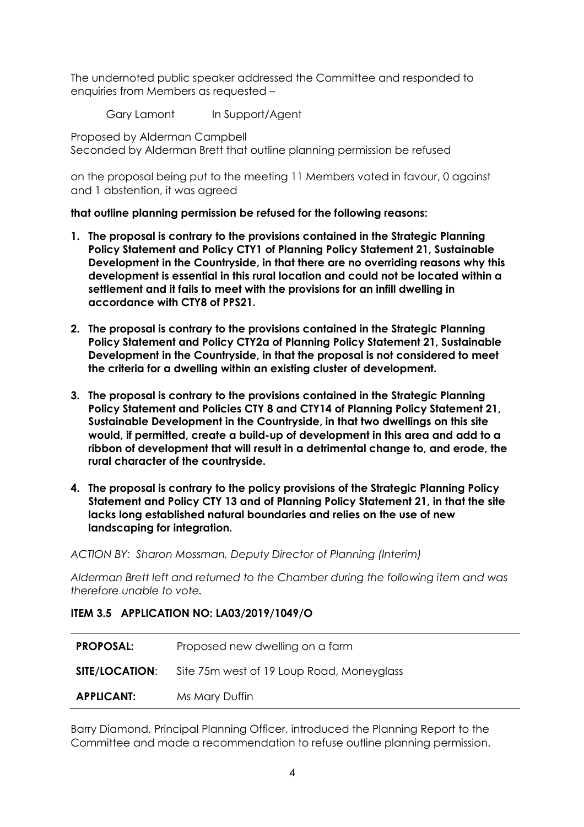The undernoted public speaker addressed the Committee and responded to enquiries from Members as requested –

Gary Lamont In Support/Agent

Proposed by Alderman Campbell Seconded by Alderman Brett that outline planning permission be refused

on the proposal being put to the meeting 11 Members voted in favour, 0 against and 1 abstention, it was agreed

# **that outline planning permission be refused for the following reasons:**

- **1. The proposal is contrary to the provisions contained in the Strategic Planning Policy Statement and Policy CTY1 of Planning Policy Statement 21, Sustainable Development in the Countryside, in that there are no overriding reasons why this development is essential in this rural location and could not be located within a settlement and it fails to meet with the provisions for an infill dwelling in accordance with CTY8 of PPS21.**
- **2. The proposal is contrary to the provisions contained in the Strategic Planning Policy Statement and Policy CTY2a of Planning Policy Statement 21, Sustainable Development in the Countryside, in that the proposal is not considered to meet the criteria for a dwelling within an existing cluster of development.**
- **3. The proposal is contrary to the provisions contained in the Strategic Planning Policy Statement and Policies CTY 8 and CTY14 of Planning Policy Statement 21, Sustainable Development in the Countryside, in that two dwellings on this site would, if permitted, create a build-up of development in this area and add to a ribbon of development that will result in a detrimental change to, and erode, the rural character of the countryside.**
- **4. The proposal is contrary to the policy provisions of the Strategic Planning Policy Statement and Policy CTY 13 and of Planning Policy Statement 21, in that the site lacks long established natural boundaries and relies on the use of new landscaping for integration.**

*ACTION BY: Sharon Mossman, Deputy Director of Planning (Interim)*

*Alderman Brett left and returned to the Chamber during the following item and was therefore unable to vote.*

# **ITEM 3.5 APPLICATION NO: LA03/2019/1049/O**

| <b>PROPOSAL:</b>      | Proposed new dwelling on a farm           |
|-----------------------|-------------------------------------------|
| <b>SITE/LOCATION:</b> | Site 75m west of 19 Loup Road, Moneyglass |
| <b>APPLICANT:</b>     | Ms Mary Duffin                            |

Barry Diamond, Principal Planning Officer, introduced the Planning Report to the Committee and made a recommendation to refuse outline planning permission.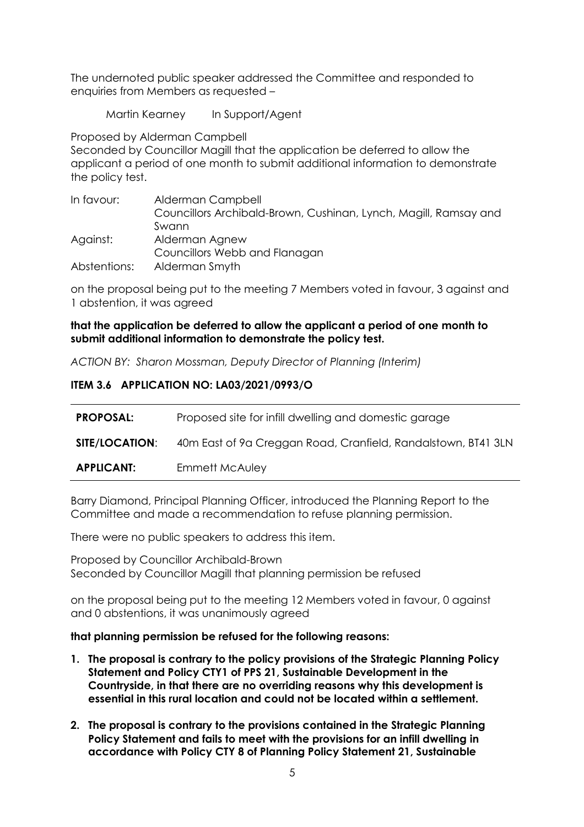The undernoted public speaker addressed the Committee and responded to enquiries from Members as requested –

Martin Kearney In Support/Agent

Proposed by Alderman Campbell Seconded by Councillor Magill that the application be deferred to allow the applicant a period of one month to submit additional information to demonstrate the policy test.

| In favour:   | Alderman Campbell                                                |
|--------------|------------------------------------------------------------------|
|              | Councillors Archibald-Brown, Cushinan, Lynch, Magill, Ramsay and |
|              | Swann                                                            |
| Against:     | Alderman Agnew                                                   |
|              | Councillors Webb and Flanagan                                    |
| Abstentions: | Alderman Smyth                                                   |

on the proposal being put to the meeting 7 Members voted in favour, 3 against and 1 abstention, it was agreed

# **that the application be deferred to allow the applicant a period of one month to submit additional information to demonstrate the policy test.**

*ACTION BY: Sharon Mossman, Deputy Director of Planning (Interim)*

# **ITEM 3.6 APPLICATION NO: LA03/2021/0993/O**

| <b>PROPOSAL:</b>      | Proposed site for infill dwelling and domestic garage         |
|-----------------------|---------------------------------------------------------------|
| <b>SITE/LOCATION:</b> | 40m East of 9a Creggan Road, Cranfield, Randalstown, BT41 3LN |
| <b>APPLICANT:</b>     | Emmett McAuley                                                |

Barry Diamond, Principal Planning Officer, introduced the Planning Report to the Committee and made a recommendation to refuse planning permission.

There were no public speakers to address this item.

Proposed by Councillor Archibald-Brown Seconded by Councillor Magill that planning permission be refused

on the proposal being put to the meeting 12 Members voted in favour, 0 against and 0 abstentions, it was unanimously agreed

#### **that planning permission be refused for the following reasons:**

- **1. The proposal is contrary to the policy provisions of the Strategic Planning Policy Statement and Policy CTY1 of PPS 21, Sustainable Development in the Countryside, in that there are no overriding reasons why this development is essential in this rural location and could not be located within a settlement.**
- **2. The proposal is contrary to the provisions contained in the Strategic Planning Policy Statement and fails to meet with the provisions for an infill dwelling in accordance with Policy CTY 8 of Planning Policy Statement 21, Sustainable**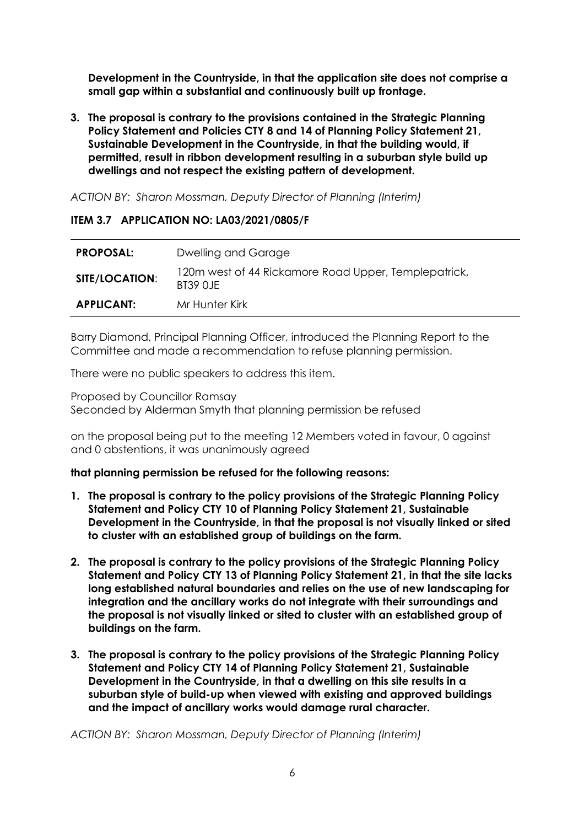**Development in the Countryside, in that the application site does not comprise a small gap within a substantial and continuously built up frontage.**

**3. The proposal is contrary to the provisions contained in the Strategic Planning Policy Statement and Policies CTY 8 and 14 of Planning Policy Statement 21, Sustainable Development in the Countryside, in that the building would, if permitted, result in ribbon development resulting in a suburban style build up dwellings and not respect the existing pattern of development.**

*ACTION BY: Sharon Mossman, Deputy Director of Planning (Interim)*

### **ITEM 3.7 APPLICATION NO: LA03/2021/0805/F**

| <b>PROPOSAL:</b>      | Dwelling and Garage                                               |
|-----------------------|-------------------------------------------------------------------|
| <b>SITE/LOCATION:</b> | 120m west of 44 Rickamore Road Upper, Templepatrick,<br>BT39 0.JF |
| <b>APPLICANT:</b>     | Mr Hunter Kirk                                                    |

Barry Diamond, Principal Planning Officer, introduced the Planning Report to the Committee and made a recommendation to refuse planning permission.

There were no public speakers to address this item.

Proposed by Councillor Ramsay Seconded by Alderman Smyth that planning permission be refused

on the proposal being put to the meeting 12 Members voted in favour, 0 against and 0 abstentions, it was unanimously agreed

# **that planning permission be refused for the following reasons:**

- **1. The proposal is contrary to the policy provisions of the Strategic Planning Policy Statement and Policy CTY 10 of Planning Policy Statement 21, Sustainable Development in the Countryside, in that the proposal is not visually linked or sited to cluster with an established group of buildings on the farm.**
- **2. The proposal is contrary to the policy provisions of the Strategic Planning Policy Statement and Policy CTY 13 of Planning Policy Statement 21, in that the site lacks long established natural boundaries and relies on the use of new landscaping for integration and the ancillary works do not integrate with their surroundings and the proposal is not visually linked or sited to cluster with an established group of buildings on the farm.**
- **3. The proposal is contrary to the policy provisions of the Strategic Planning Policy Statement and Policy CTY 14 of Planning Policy Statement 21, Sustainable Development in the Countryside, in that a dwelling on this site results in a suburban style of build-up when viewed with existing and approved buildings and the impact of ancillary works would damage rural character.**

*ACTION BY: Sharon Mossman, Deputy Director of Planning (Interim)*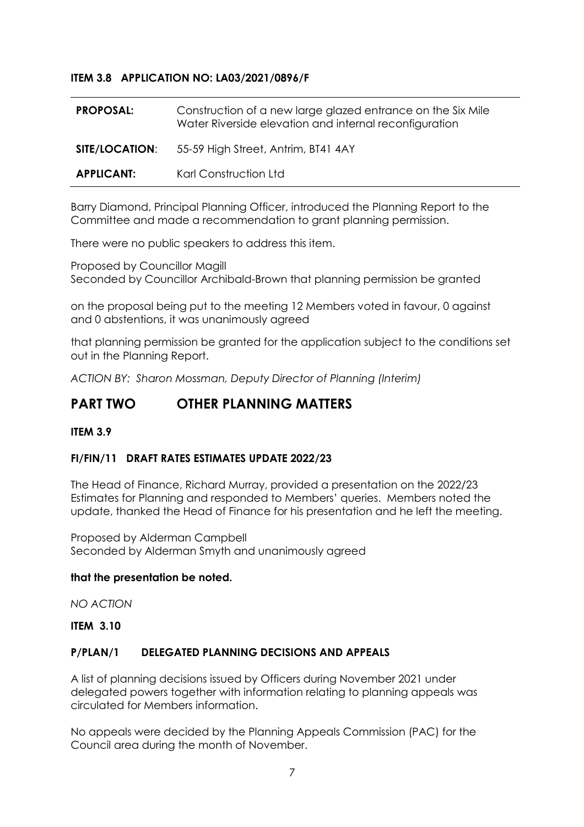## **ITEM 3.8 APPLICATION NO: LA03/2021/0896/F**

| <b>PROPOSAL:</b>  | Construction of a new large glazed entrance on the Six Mile<br>Water Riverside elevation and internal reconfiguration |
|-------------------|-----------------------------------------------------------------------------------------------------------------------|
|                   | <b>SITE/LOCATION:</b> 55-59 High Street, Antrim, BT41 4AY                                                             |
| <b>APPLICANT:</b> | Karl Construction Ltd                                                                                                 |

Barry Diamond, Principal Planning Officer, introduced the Planning Report to the Committee and made a recommendation to grant planning permission.

There were no public speakers to address this item.

Proposed by Councillor Magill Seconded by Councillor Archibald-Brown that planning permission be granted

on the proposal being put to the meeting 12 Members voted in favour, 0 against and 0 abstentions, it was unanimously agreed

that planning permission be granted for the application subject to the conditions set out in the Planning Report.

*ACTION BY: Sharon Mossman, Deputy Director of Planning (Interim)*

# **PART TWO OTHER PLANNING MATTERS**

#### **ITEM 3.9**

### **FI/FIN/11 DRAFT RATES ESTIMATES UPDATE 2022/23**

The Head of Finance, Richard Murray, provided a presentation on the 2022/23 Estimates for Planning and responded to Members' queries. Members noted the update, thanked the Head of Finance for his presentation and he left the meeting.

Proposed by Alderman Campbell Seconded by Alderman Smyth and unanimously agreed

#### **that the presentation be noted.**

*NO ACTION*

#### **ITEM 3.10**

#### **P/PLAN/1 DELEGATED PLANNING DECISIONS AND APPEALS**

A list of planning decisions issued by Officers during November 2021 under delegated powers together with information relating to planning appeals was circulated for Members information.

No appeals were decided by the Planning Appeals Commission (PAC) for the Council area during the month of November.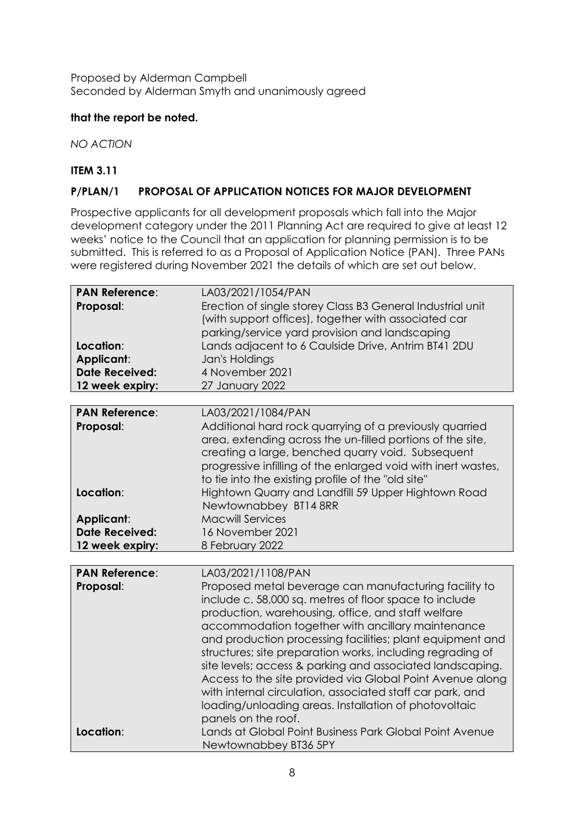Proposed by Alderman Campbell Seconded by Alderman Smyth and unanimously agreed

# **that the report be noted.**

*NO ACTION*

# **ITEM 3.11**

## **P/PLAN/1 PROPOSAL OF APPLICATION NOTICES FOR MAJOR DEVELOPMENT**

Prospective applicants for all development proposals which fall into the Major development category under the 2011 Planning Act are required to give at least 12 weeks' notice to the Council that an application for planning permission is to be submitted. This is referred to as a Proposal of Application Notice (PAN). Three PANs were registered during November 2021 the details of which are set out below.

| <b>PAN Reference:</b><br>Proposal:<br>Location:<br>Applicant:<br><b>Date Received:</b><br>12 week expiry:        | LA03/2021/1054/PAN<br>Erection of single storey Class B3 General Industrial unit<br>(with support offices), together with associated car<br>parking/service yard provision and landscaping<br>Lands adjacent to 6 Caulside Drive, Antrim BT41 2DU<br>Jan's Holdings<br>4 November 2021<br>27 January 2022                                                                                                                                                                                                                                                                                                                                                                                                                              |
|------------------------------------------------------------------------------------------------------------------|----------------------------------------------------------------------------------------------------------------------------------------------------------------------------------------------------------------------------------------------------------------------------------------------------------------------------------------------------------------------------------------------------------------------------------------------------------------------------------------------------------------------------------------------------------------------------------------------------------------------------------------------------------------------------------------------------------------------------------------|
| <b>PAN Reference:</b><br>Proposal:<br>Location:<br><b>Applicant:</b><br><b>Date Received:</b><br>12 week expiry: | LA03/2021/1084/PAN<br>Additional hard rock quarrying of a previously quarried<br>area, extending across the un-filled portions of the site,<br>creating a large, benched quarry void. Subsequent<br>progressive infilling of the enlarged void with inert wastes,<br>to tie into the existing profile of the "old site"<br>Hightown Quarry and Landfill 59 Upper Hightown Road<br>Newtownabbey BT14 8RR<br><b>Macwill Services</b><br>16 November 2021<br>8 February 2022                                                                                                                                                                                                                                                              |
| <b>PAN Reference:</b><br>Proposal:<br>Location:                                                                  | LA03/2021/1108/PAN<br>Proposed metal beverage can manufacturing facility to<br>include c. 58,000 sq. metres of floor space to include<br>production, warehousing, office, and staff welfare<br>accommodation together with ancillary maintenance<br>and production processing facilities; plant equipment and<br>structures; site preparation works, including regrading of<br>site levels; access & parking and associated landscaping.<br>Access to the site provided via Global Point Avenue along<br>with internal circulation, associated staff car park, and<br>loading/unloading areas. Installation of photovoltaic<br>panels on the roof.<br>Lands at Global Point Business Park Global Point Avenue<br>Newtownabbey BT36 5PY |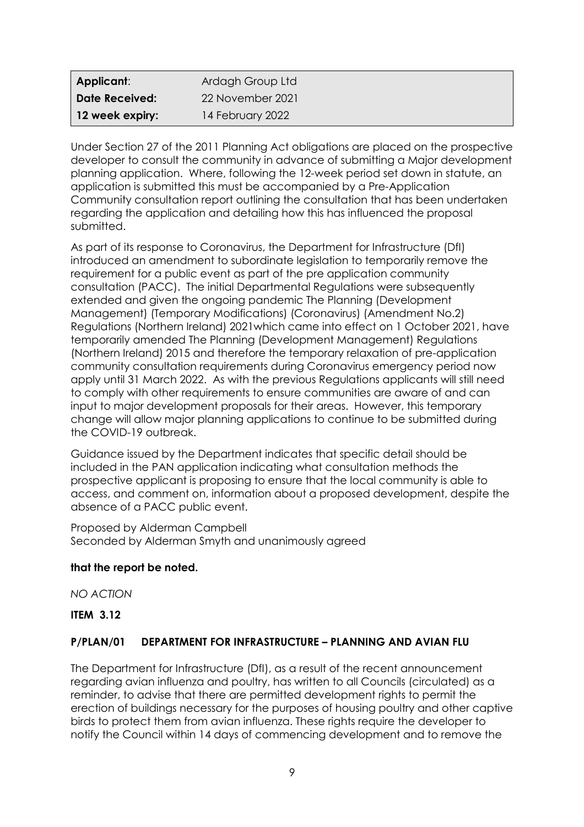| Applicant:            | Ardagh Group Ltd |
|-----------------------|------------------|
| <b>Date Received:</b> | 22 November 2021 |
| 12 week expiry:       | 14 February 2022 |

Under Section 27 of the 2011 Planning Act obligations are placed on the prospective developer to consult the community in advance of submitting a Major development planning application. Where, following the 12-week period set down in statute, an application is submitted this must be accompanied by a Pre-Application Community consultation report outlining the consultation that has been undertaken regarding the application and detailing how this has influenced the proposal submitted.

As part of its response to Coronavirus, the Department for Infrastructure (DfI) introduced an amendment to subordinate legislation to temporarily remove the requirement for a public event as part of the pre application community consultation (PACC). The initial Departmental Regulations were subsequently extended and given the ongoing pandemic The Planning (Development Management) (Temporary Modifications) (Coronavirus) (Amendment No.2) Regulations (Northern Ireland) 2021which came into effect on 1 October 2021, have temporarily amended The Planning (Development Management) Regulations (Northern Ireland) 2015 and therefore the temporary relaxation of pre-application community consultation requirements during Coronavirus emergency period now apply until 31 March 2022. As with the previous Regulations applicants will still need to comply with other requirements to ensure communities are aware of and can input to major development proposals for their areas. However, this temporary change will allow major planning applications to continue to be submitted during the COVID-19 outbreak.

Guidance issued by the Department indicates that specific detail should be included in the PAN application indicating what consultation methods the prospective applicant is proposing to ensure that the local community is able to access, and comment on, information about a proposed development, despite the absence of a PACC public event.

Proposed by Alderman Campbell Seconded by Alderman Smyth and unanimously agreed

# **that the report be noted.**

*NO ACTION*

**ITEM 3.12**

# **P/PLAN/01 DEPARTMENT FOR INFRASTRUCTURE – PLANNING AND AVIAN FLU**

The Department for Infrastructure (DfI), as a result of the recent announcement regarding avian influenza and poultry, has written to all Councils (circulated) as a reminder, to advise that there are permitted development rights to permit the erection of buildings necessary for the purposes of housing poultry and other captive birds to protect them from avian influenza. These rights require the developer to notify the Council within 14 days of commencing development and to remove the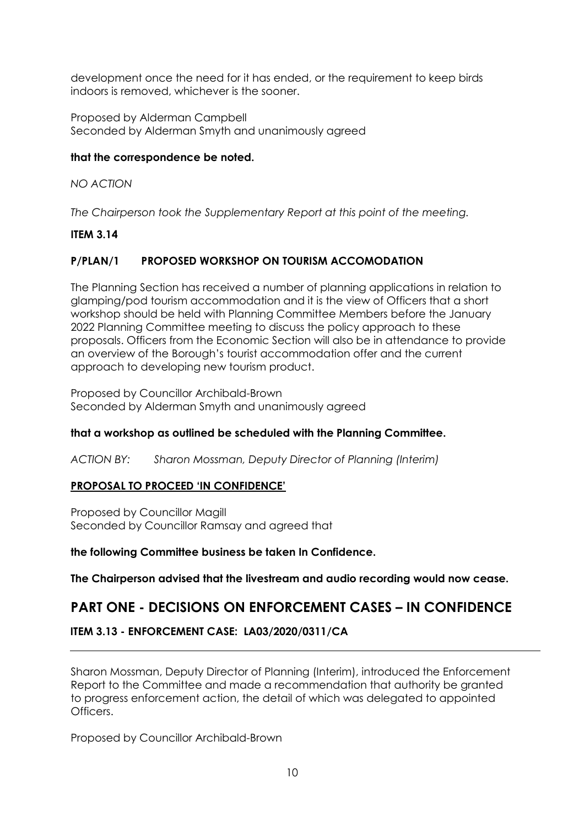development once the need for it has ended, or the requirement to keep birds indoors is removed, whichever is the sooner.

Proposed by Alderman Campbell Seconded by Alderman Smyth and unanimously agreed

# **that the correspondence be noted.**

*NO ACTION*

*The Chairperson took the Supplementary Report at this point of the meeting.*

# **ITEM 3.14**

# **P/PLAN/1 PROPOSED WORKSHOP ON TOURISM ACCOMODATION**

The Planning Section has received a number of planning applications in relation to glamping/pod tourism accommodation and it is the view of Officers that a short workshop should be held with Planning Committee Members before the January 2022 Planning Committee meeting to discuss the policy approach to these proposals. Officers from the Economic Section will also be in attendance to provide an overview of the Borough's tourist accommodation offer and the current approach to developing new tourism product.

Proposed by Councillor Archibald-Brown Seconded by Alderman Smyth and unanimously agreed

# **that a workshop as outlined be scheduled with the Planning Committee.**

*ACTION BY: Sharon Mossman, Deputy Director of Planning (Interim)*

# **PROPOSAL TO PROCEED 'IN CONFIDENCE'**

Proposed by Councillor Magill Seconded by Councillor Ramsay and agreed that

**the following Committee business be taken In Confidence.**

**The Chairperson advised that the livestream and audio recording would now cease.**

# **PART ONE - DECISIONS ON ENFORCEMENT CASES – IN CONFIDENCE**

# **ITEM 3.13 - ENFORCEMENT CASE: LA03/2020/0311/CA**

Sharon Mossman, Deputy Director of Planning (Interim), introduced the Enforcement Report to the Committee and made a recommendation that authority be granted to progress enforcement action, the detail of which was delegated to appointed Officers.

Proposed by Councillor Archibald-Brown